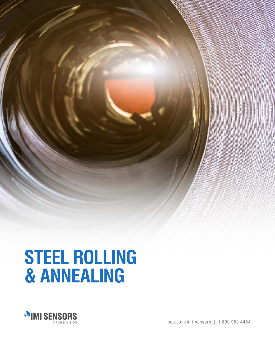

# **STEEL ROLLING & ANNEALING**



pcb.com/imi-sensors | 1 800 959 4464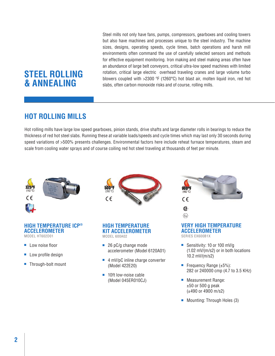# **STEEL ROLLING & ANNEALING**

Steel mills not only have fans, pumps, compressors, gearboxes and cooling towers but also have machines and processes unique to the steel industry. The machine sizes, designs, operating speeds, cycle times, batch operations and harsh mill environments often command the use of carefully selected sensors and methods for effective equipment monitoring. Iron making and steel making areas often have an abundance of large belt conveyors, critical ultra-low speed machines with limited rotation, critical large electric overhead traveling cranes and large volume turbo blowers coupled with >2300 ºF (1260°C) hot blast air, molten liquid iron, red hot slabs, often carbon monoxide risks and of course, rolling mills.

## **HOT ROLLING MILLS**

Hot rolling mills have large low speed gearboxes, pinion stands, drive shafts and large diameter rolls in bearings to reduce the thickness of red hot steel slabs. Running these at variable loads/speeds and cycle times which may last only 30 seconds during speed variations of >500% presents challenges. Environmental factors here include reheat furnace temperatures, steam and scale from cooling water sprays and of course coiling red hot steel traveling at thousands of feet per minute.



#### **HIGH TEMPERATURE ICP® ACCELEROMETER** MODEL HT602D01

- 
- Low noise floor
- Low profile design
- Through-bolt mount



#### **HIGH TEMPERATURE KIT ACCELEROMETER** MODEL 600A02 **IECEx IECEx**

- 26 pC/g change mode accelerometer (Model 6120A01)
- 4 mV/pC inline charge converter (Model 422E20)
- 10ft low-noise cable (Model 045ER010CJ)



#### **VERY HIGH TEMPERATURE ACCELEROMETER** SERIES EX600B1X

- Sensitivity: 10 or 100 mV/g (1.02 mV/(m/s2) or in both locations 10.2 mV/(m/s2)
- Frequency Range  $(\pm 5\%)$ : 282 or 240000 cmp (4.7 to 3.5 KHz)
- Measurement Range:  $±50$  or 500 g peak (±490 or 4900 m/s2)
- Mounting: Through Holes (3)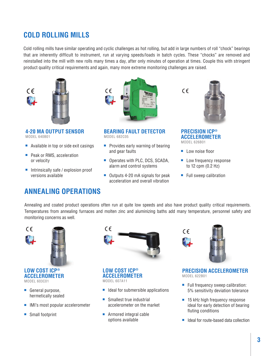# **COLD ROLLING MILLS**

Cold rolling mills have similar operating and cyclic challenges as hot rolling, but add in large numbers of roll "chock" bearings that are inherently difficult to instrument, run at varying speeds/loads in batch cycles. These "chocks" are removed and reinstalled into the mill with new rolls many times a day, after only minutes of operation at times. Couple this with stringent product quality critical requirements and again, many more extreme monitoring challenges are raised.



**4-20 MA OUTPUT SENSOR** MODEL 640B01

- Available in top or side exit casings
- Peak or RMS, acceleration or velocity
- Intrinsically safe / explosion proof versions available



**BEARING FAULT DETECTOR** MODEL 682C05

- Provides early warning of bearing and gear faults
- Operates with PLC, DCS, SCADA, alarm and control systems
- Outputs 4-20 mA signals for peak acceleration and overall vibration



**PRECISION ICP® ACCELEROMETER** MODEL 626B01

 $C \in$ 

- Low noise floor
- Low frequency response to 12 cpm (0.2 Hz)
- Full sweep calibration

### **ANNEALING OPERATIONS**

Annealing and coated product operations often run at quite low speeds and also have product quality critical requirements. Temperatures from annealing furnaces and molten zinc and aluminizing baths add many temperature, personnel safety and monitoring concerns as well.



- General purpose, hermetically sealed
- IMI's most popular accelerometer
- Small footprint



**LOW COST ICP® ACCELEROMETER** MODEL 607A11

- Ideal for submersible applications
- Smallest true industrial accelerometer on the market
- Armored integral cable options available



**PRECISION ACCELEROMETER** MODEL 622B01

- Full frequency sweep calibration: 5% sensitivity deviation tolerance
- 15 kHz high frequency response ideal for early detection of bearing fluting conditions
- Ideal for route-based data collection